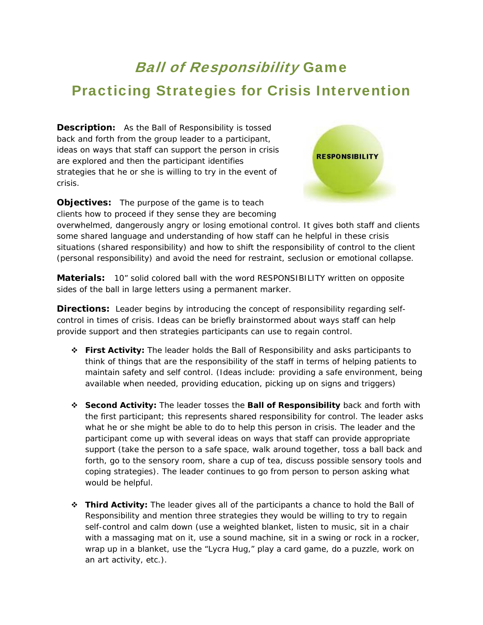## Ball of Responsibility Game Practicing Strategies for Crisis Intervention

**Description:** As the *Ball of Responsibility* is tossed back and forth from the group leader to a participant, ideas on ways that staff can support the person in crisis are explored and then the participant identifies strategies that he or she is willing to try in the event of crisis.



**Objectives:** The purpose of the game is to teach clients how to proceed if they sense they are becoming

overwhelmed, dangerously angry or losing emotional control. It gives both staff and clients some shared language and understanding of how staff can he helpful in these crisis situations (shared responsibility) and how to shift the responsibility of control to the client (personal responsibility) and avoid the need for restraint, seclusion or emotional collapse.

**Materials:** 10" solid colored ball with the word RESPONSIBILITY written on opposite sides of the ball in large letters using a permanent marker.

**Directions:** Leader begins by introducing the concept of responsibility regarding selfcontrol in times of crisis. Ideas can be briefly brainstormed about ways staff can help provide support and then strategies participants can use to regain control.

- **First Activity:** The leader holds the *Ball of Responsibility* and asks participants to think of things that are the responsibility of the staff in terms of helping patients to maintain safety and self control. (Ideas include: providing a safe environment, being available when needed, providing education, picking up on signs and triggers)
- **Second Activity:** The leader tosses the **Ball of Responsibility** back and forth with the first participant; this represents shared responsibility for control. The leader asks what he or she might be able to do to help this person in crisis. The leader and the participant come up with several ideas on ways that staff can provide appropriate support (take the person to a safe space, walk around together, toss a ball back and forth, go to the sensory room, share a cup of tea, discuss possible sensory tools and coping strategies). The leader continues to go from person to person asking what would be helpful.
- **Third Activity:** The leader gives all of the participants a chance to hold the *Ball of Responsibility* and mention three strategies they would be willing to try to regain self-control and calm down (use a weighted blanket, listen to music, sit in a chair with a massaging mat on it, use a sound machine, sit in a swing or rock in a rocker, wrap up in a blanket, use the "Lycra Hug," play a card game, do a puzzle, work on an art activity, etc.).